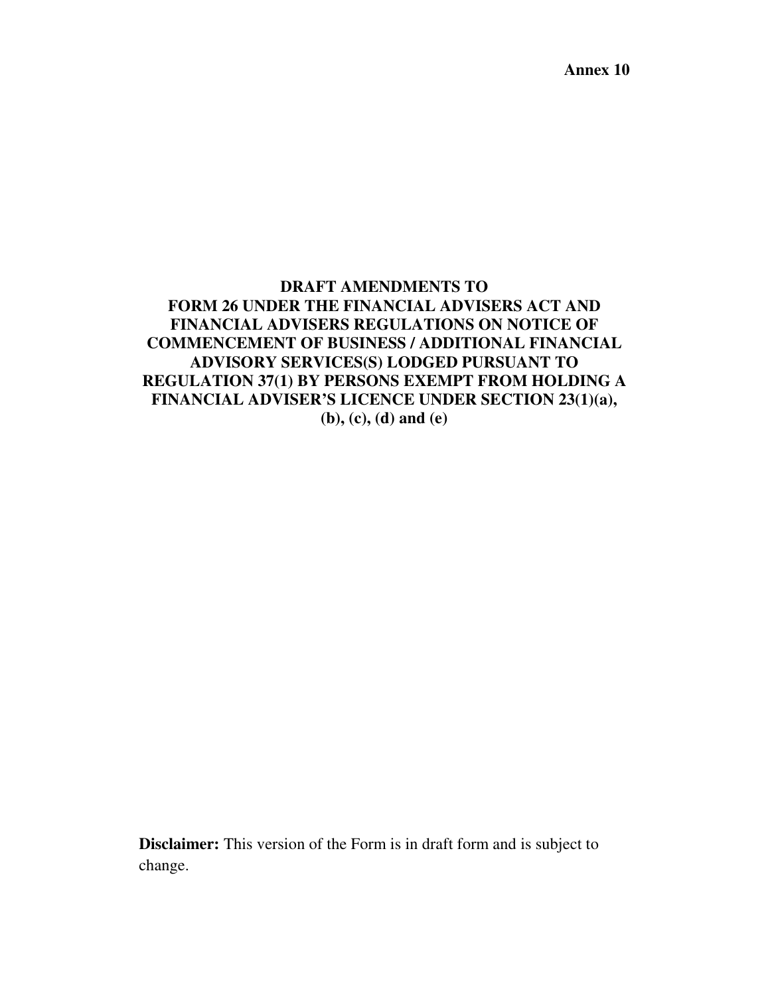**Annex 10** 

# **DRAFT AMENDMENTS TO FORM 26 UNDER THE FINANCIAL ADVISERS ACT AND FINANCIAL ADVISERS REGULATIONS ON NOTICE OF COMMENCEMENT OF BUSINESS / ADDITIONAL FINANCIAL ADVISORY SERVICES(S) LODGED PURSUANT TO REGULATION 37(1) BY PERSONS EXEMPT FROM HOLDING A FINANCIAL ADVISER'S LICENCE UNDER SECTION 23(1)(a), (b), (c), (d) and (e)**

**Disclaimer:** This version of the Form is in draft form and is subject to change.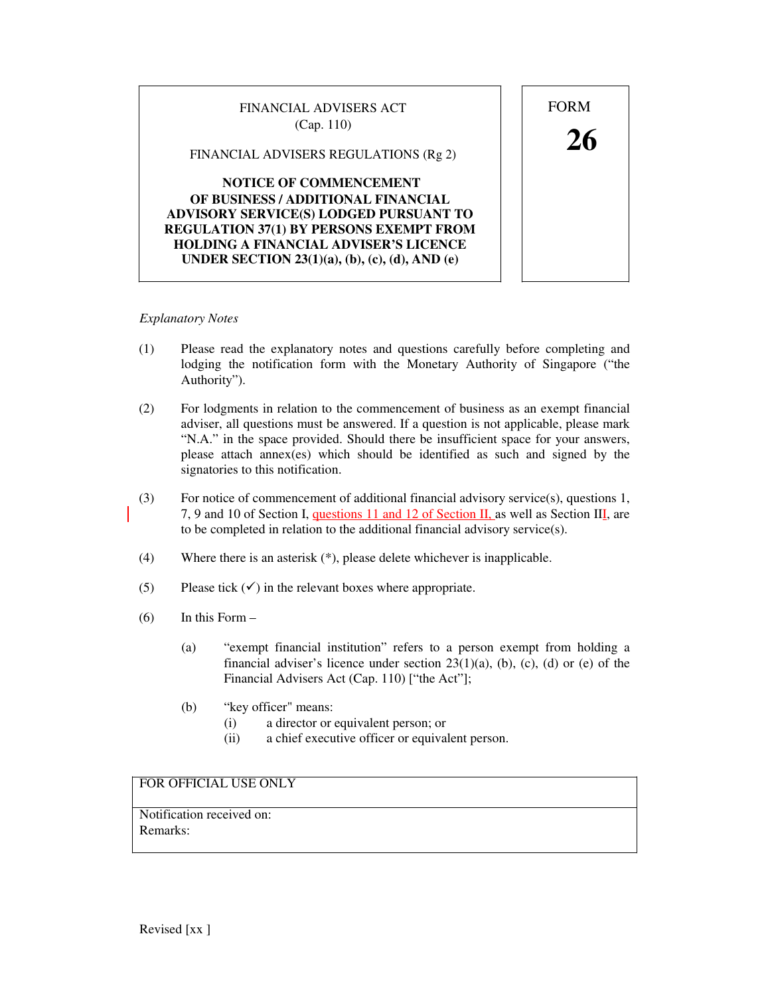# FINANCIAL ADVISERS ACT FORM

(Cap. 110)<br>FINANCIAL ADVISERS REGULATIONS (Rg 2)  $26$ 

## **NOTICE OF COMMENCEMENT OF BUSINESS / ADDITIONAL FINANCIAL ADVISORY SERVICE(S) LODGED PURSUANT TO REGULATION 37(1) BY PERSONS EXEMPT FROM HOLDING A FINANCIAL ADVISER'S LICENCE UNDER SECTION 23(1)(a), (b), (c), (d), AND (e)**

# *Explanatory Notes*

- (1) Please read the explanatory notes and questions carefully before completing and lodging the notification form with the Monetary Authority of Singapore ("the Authority").
- (2) For lodgments in relation to the commencement of business as an exempt financial adviser, all questions must be answered. If a question is not applicable, please mark "N.A." in the space provided. Should there be insufficient space for your answers, please attach annex(es) which should be identified as such and signed by the signatories to this notification.
- (3) For notice of commencement of additional financial advisory service(s), questions 1, 7, 9 and 10 of Section I, questions 11 and 12 of Section II, as well as Section III, are to be completed in relation to the additional financial advisory service(s).
- (4) Where there is an asterisk (\*), please delete whichever is inapplicable.
- (5) Please tick  $(\checkmark)$  in the relevant boxes where appropriate.
- $(6)$  In this Form
	- (a) "exempt financial institution" refers to a person exempt from holding a financial adviser's licence under section  $23(1)(a)$ , (b), (c), (d) or (e) of the Financial Advisers Act (Cap. 110) ["the Act"];
	- (b) "key officer" means:
		- (i) a director or equivalent person; or
		- (ii) a chief executive officer or equivalent person.

# FOR OFFICIAL USE ONLY

Notification received on: Remarks:

Revised [xx ]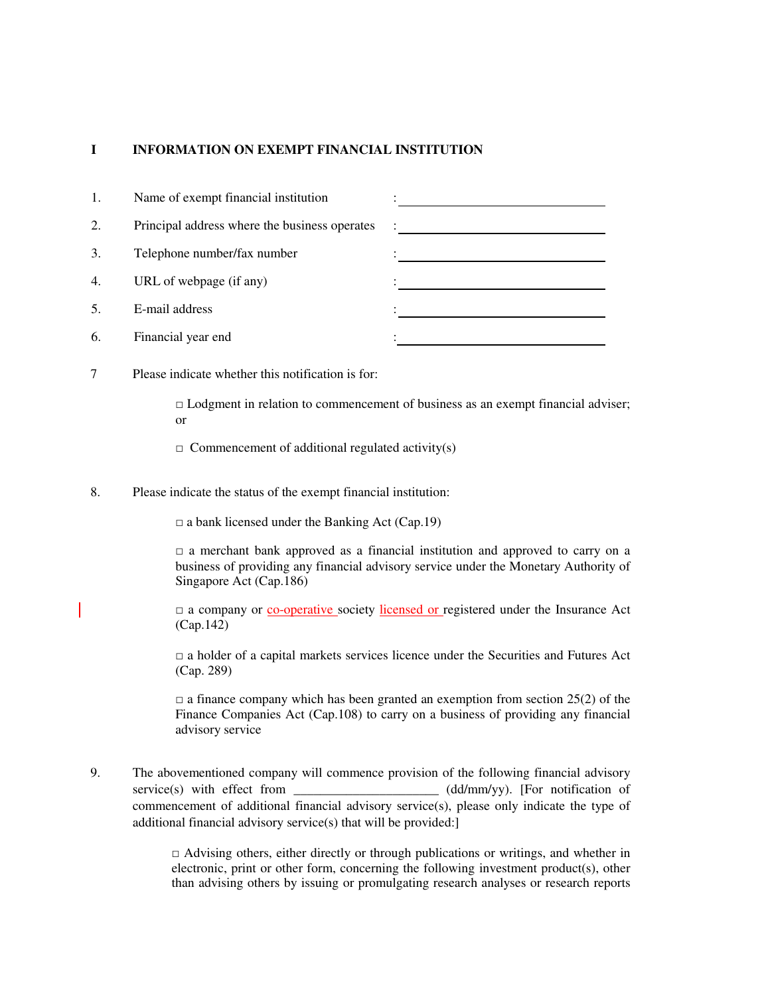#### **I INFORMATION ON EXEMPT FINANCIAL INSTITUTION**

| 1.             | Name of exempt financial institution          |           |
|----------------|-----------------------------------------------|-----------|
| 2.             | Principal address where the business operates |           |
| 3.             | Telephone number/fax number                   |           |
| 4.             | URL of webpage (if any)                       |           |
| $\mathfrak{S}$ | E-mail address                                | ٠         |
| 6.             | Financial year end                            | $\bullet$ |

7 Please indicate whether this notification is for:

 $\Box$  Lodgment in relation to commencement of business as an exempt financial adviser; or

- $\Box$  Commencement of additional regulated activity(s)
- 8. Please indicate the status of the exempt financial institution:

 $\Box$  a bank licensed under the Banking Act (Cap.19)

 $\Box$  a merchant bank approved as a financial institution and approved to carry on a business of providing any financial advisory service under the Monetary Authority of Singapore Act (Cap.186)

□ a company or co-operative society licensed or registered under the Insurance Act (Cap.142)

 $\Box$  a holder of a capital markets services licence under the Securities and Futures Act (Cap. 289)

 $\Box$  a finance company which has been granted an exemption from section 25(2) of the Finance Companies Act (Cap.108) to carry on a business of providing any financial advisory service

9. The abovementioned company will commence provision of the following financial advisory service(s) with effect from \_\_\_\_\_\_\_\_\_\_\_\_\_\_\_\_\_\_\_\_\_ (dd/mm/yy). [For notification of commencement of additional financial advisory service(s), please only indicate the type of additional financial advisory service(s) that will be provided:]

> $\Box$  Advising others, either directly or through publications or writings, and whether in electronic, print or other form, concerning the following investment product(s), other than advising others by issuing or promulgating research analyses or research reports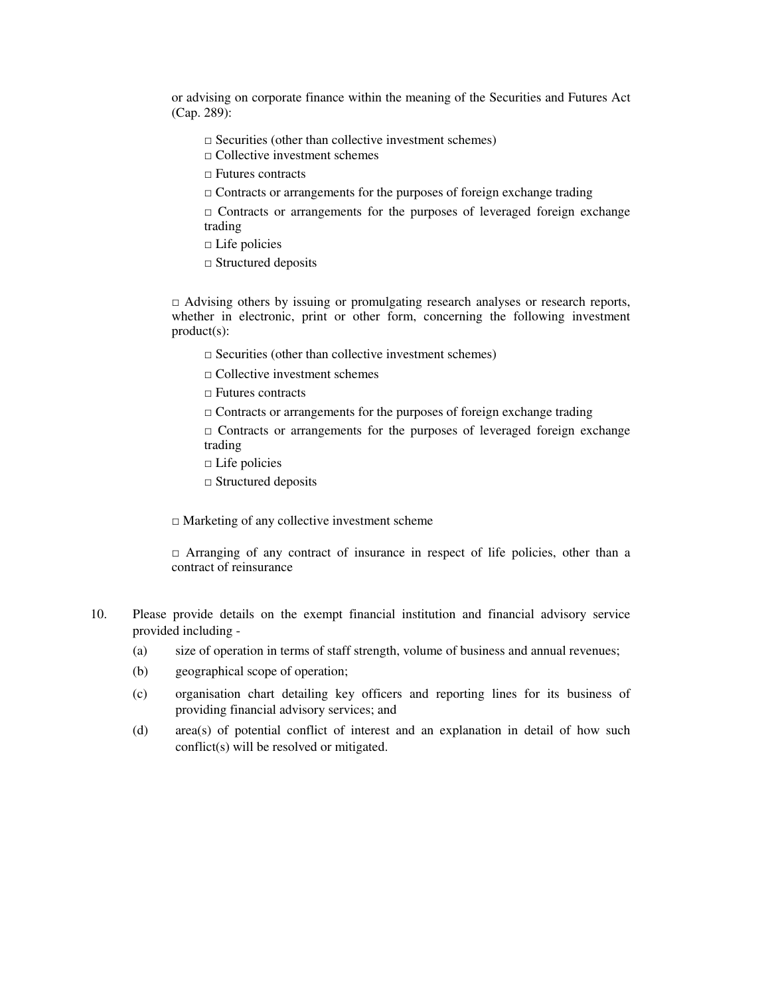or advising on corporate finance within the meaning of the Securities and Futures Act (Cap. 289):

- $\square$  Securities (other than collective investment schemes)
- $\Box$  Collective investment schemes
- □ Futures contracts
- $\Box$  Contracts or arrangements for the purposes of foreign exchange trading

 $\Box$  Contracts or arrangements for the purposes of leveraged foreign exchange trading

- $\square$  Life policies
- □ Structured deposits

 $\Box$  Advising others by issuing or promulgating research analyses or research reports, whether in electronic, print or other form, concerning the following investment product(s):

- $\square$  Securities (other than collective investment schemes)
- □ Collective investment schemes
- □ Futures contracts
- $\Box$  Contracts or arrangements for the purposes of foreign exchange trading

 $\square$  Contracts or arrangements for the purposes of leveraged foreign exchange trading

- □ Life policies
- □ Structured deposits

 $\Box$  Marketing of any collective investment scheme

□ Arranging of any contract of insurance in respect of life policies, other than a contract of reinsurance

- 10. Please provide details on the exempt financial institution and financial advisory service provided including -
	- (a) size of operation in terms of staff strength, volume of business and annual revenues;
	- (b) geographical scope of operation;
	- (c) organisation chart detailing key officers and reporting lines for its business of providing financial advisory services; and
	- (d) area(s) of potential conflict of interest and an explanation in detail of how such conflict(s) will be resolved or mitigated.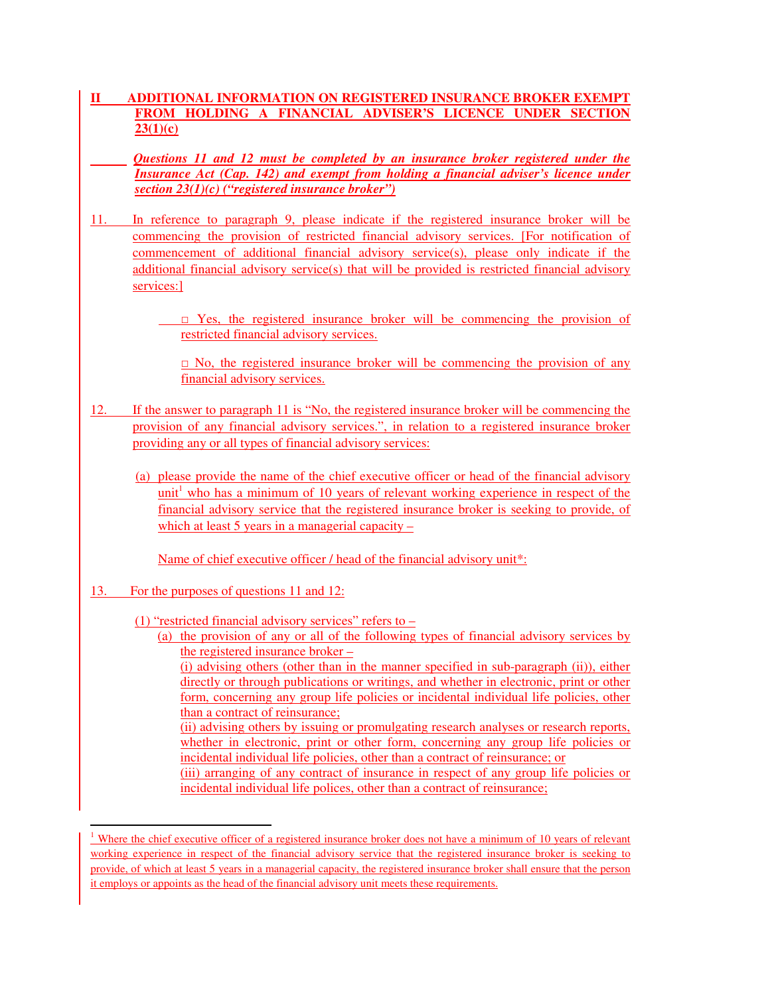## **II ADDITIONAL INFORMATION ON REGISTERED INSURANCE BROKER EXEMPT FROM HOLDING A FINANCIAL ADVISER'S LICENCE UNDER SECTION 23(1)(c)**

 *Questions 11 and 12 must be completed by an insurance broker registered under the Insurance Act (Cap. 142) and exempt from holding a financial adviser's licence under section 23(1)(c) ("registered insurance broker")*

11. In reference to paragraph 9, please indicate if the registered insurance broker will be commencing the provision of restricted financial advisory services. [For notification of commencement of additional financial advisory service(s), please only indicate if the additional financial advisory service(s) that will be provided is restricted financial advisory services:]

> $\square$  Yes, the registered insurance broker will be commencing the provision of restricted financial advisory services.

 $\Box$  No, the registered insurance broker will be commencing the provision of any financial advisory services.

- 12. If the answer to paragraph 11 is "No, the registered insurance broker will be commencing the provision of any financial advisory services.", in relation to a registered insurance broker providing any or all types of financial advisory services:
	- (a) please provide the name of the chief executive officer or head of the financial advisory unit<sup>1</sup> who has a minimum of 10 years of relevant working experience in respect of the financial advisory service that the registered insurance broker is seeking to provide, of which at least 5 years in a managerial capacity –

Name of chief executive officer / head of the financial advisory unit\*:

13. For the purposes of questions 11 and 12:

l

- (1) "restricted financial advisory services" refers to
	- (a) the provision of any or all of the following types of financial advisory services by the registered insurance broker –

(i) advising others (other than in the manner specified in sub-paragraph (ii)), either directly or through publications or writings, and whether in electronic, print or other form, concerning any group life policies or incidental individual life policies, other than a contract of reinsurance;

(ii) advising others by issuing or promulgating research analyses or research reports, whether in electronic, print or other form, concerning any group life policies or incidental individual life policies, other than a contract of reinsurance; or (iii) arranging of any contract of insurance in respect of any group life policies or

incidental individual life polices, other than a contract of reinsurance;

<sup>&</sup>lt;sup>1</sup> Where the chief executive officer of a registered insurance broker does not have a minimum of 10 years of relevant working experience in respect of the financial advisory service that the registered insurance broker is seeking to provide, of which at least 5 years in a managerial capacity, the registered insurance broker shall ensure that the person it employs or appoints as the head of the financial advisory unit meets these requirements.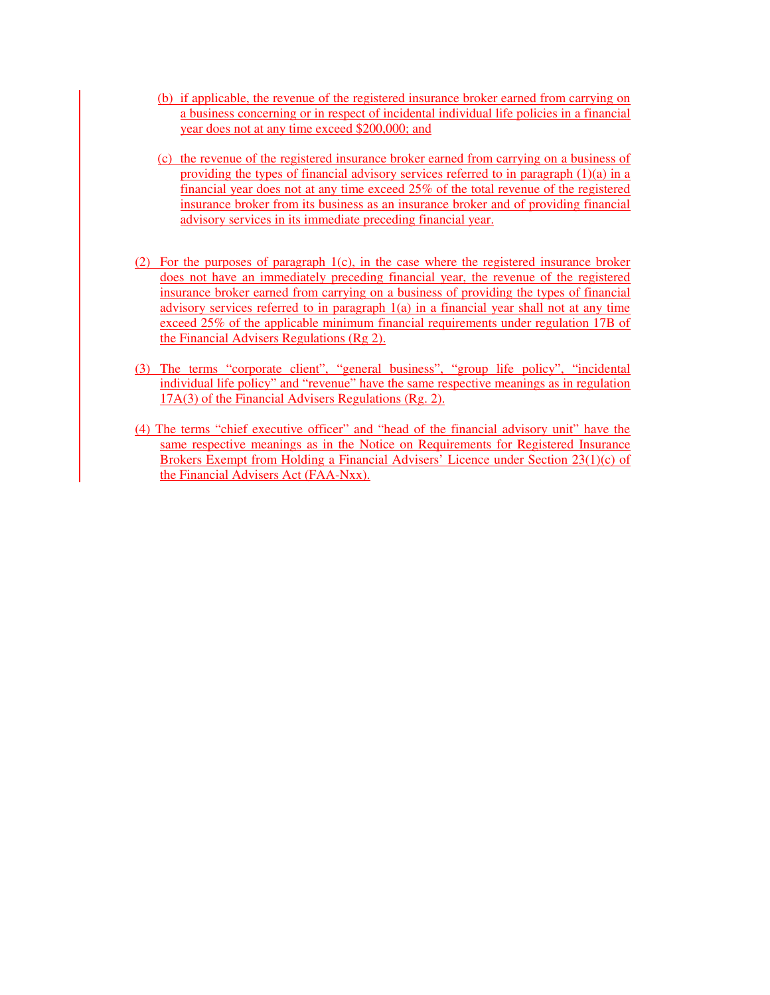- (b) if applicable, the revenue of the registered insurance broker earned from carrying on a business concerning or in respect of incidental individual life policies in a financial year does not at any time exceed \$200,000; and
- (c) the revenue of the registered insurance broker earned from carrying on a business of providing the types of financial advisory services referred to in paragraph  $(1)(a)$  in a financial year does not at any time exceed 25% of the total revenue of the registered insurance broker from its business as an insurance broker and of providing financial advisory services in its immediate preceding financial year.
- (2) For the purposes of paragraph 1(c), in the case where the registered insurance broker does not have an immediately preceding financial year, the revenue of the registered insurance broker earned from carrying on a business of providing the types of financial advisory services referred to in paragraph  $1(a)$  in a financial year shall not at any time exceed 25% of the applicable minimum financial requirements under regulation 17B of the Financial Advisers Regulations (Rg 2).
- (3) The terms "corporate client", "general business", "group life policy", "incidental individual life policy" and "revenue" have the same respective meanings as in regulation 17A(3) of the Financial Advisers Regulations (Rg. 2).
- (4) The terms "chief executive officer" and "head of the financial advisory unit" have the same respective meanings as in the Notice on Requirements for Registered Insurance Brokers Exempt from Holding a Financial Advisers' Licence under Section 23(1)(c) of the Financial Advisers Act (FAA-Nxx).